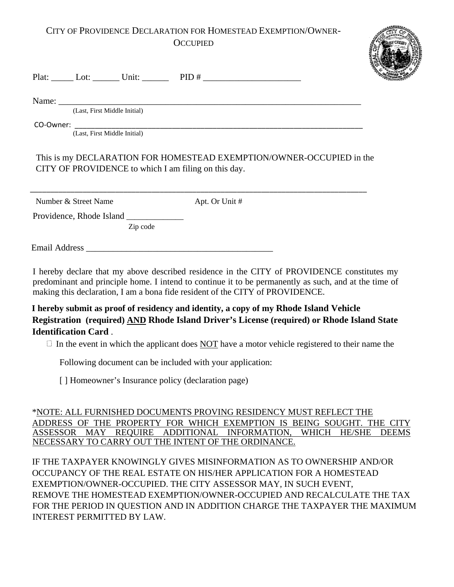## CITY OF PROVIDENCE DECLARATION FOR HOMESTEAD EXEMPTION/OWNER-**OCCUPIED**



Plat: \_\_\_\_\_\_ Lot: \_\_\_\_\_\_\_ Unit: \_\_\_\_\_\_\_ PID # \_\_\_\_\_\_\_\_\_\_\_\_\_\_\_\_\_\_\_\_\_\_\_\_\_\_\_\_\_\_\_\_\_\_

Name: \_\_\_\_\_\_\_\_\_\_\_\_\_\_\_\_\_\_\_\_\_\_\_\_\_\_\_\_\_\_\_\_\_\_\_\_\_\_\_\_\_\_\_\_\_\_\_\_\_\_\_\_\_\_\_\_\_\_\_\_\_\_\_\_\_\_\_\_

(Last, First Middle Initial)

CO-Owner: \_\_\_\_\_\_\_\_\_\_\_\_\_\_\_\_\_\_\_\_\_\_\_\_\_\_\_\_\_\_\_\_\_\_\_\_\_\_\_\_\_\_\_\_\_\_\_\_\_\_\_\_\_\_\_\_\_\_\_\_\_\_\_\_\_\_\_\_\_\_\_

(Last, First Middle Initial)

This is my DECLARATION FOR HOMESTEAD EXEMPTION/OWNER-OCCUPIED in the CITY OF PROVIDENCE to which I am filing on this day.

\_\_\_\_\_\_\_\_\_\_\_\_\_\_\_\_\_\_\_\_\_\_\_\_\_\_\_\_\_\_\_\_\_\_\_\_\_\_\_\_\_\_\_\_\_\_\_\_\_\_\_\_\_\_\_\_\_\_\_\_\_\_\_\_\_\_\_\_\_\_\_\_\_\_\_\_\_\_\_\_\_\_\_

Number & Street Name Apt. Or Unit #

Providence, Rhode Island \_

Zip code

Email Address **Email** 

I hereby declare that my above described residence in the CITY of PROVIDENCE constitutes my predominant and principle home. I intend to continue it to be permanently as such, and at the time of making this declaration, I am a bona fide resident of the CITY of PROVIDENCE.

**I hereby submit as proof of residency and identity, a copy of my Rhode Island Vehicle Registration (required) AND Rhode Island Driver's License (required) or Rhode Island State Identification Card** .

 $\Box$  In the event in which the applicant does NOT have a motor vehicle registered to their name the

Following document can be included with your application:

[] Homeowner's Insurance policy (declaration page)

\*NOTE: ALL FURNISHED DOCUMENTS PROVING RESIDENCY MUST REFLECT THE ADDRESS OF THE PROPERTY FOR WHICH EXEMPTION IS BEING SOUGHT. THE CITY ASSESSOR MAY REQUIRE ADDITIONAL INFORMATION, WHICH HE/SHE DEEMS NECESSARY TO CARRY OUT THE INTENT OF THE ORDINANCE.

IF THE TAXPAYER KNOWINGLY GIVES MISINFORMATION AS TO OWNERSHIP AND/OR OCCUPANCY OF THE REAL ESTATE ON HIS/HER APPLICATION FOR A HOMESTEAD EXEMPTION/OWNER-OCCUPIED. THE CITY ASSESSOR MAY, IN SUCH EVENT, REMOVE THE HOMESTEAD EXEMPTION/OWNER-OCCUPIED AND RECALCULATE THE TAX FOR THE PERIOD IN QUESTION AND IN ADDITION CHARGE THE TAXPAYER THE MAXIMUM INTEREST PERMITTED BY LAW.